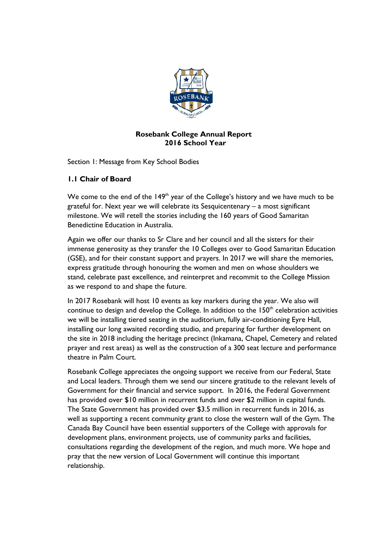

# **Rosebank College Annual Report 2016 School Year**

Section 1: Message from Key School Bodies

# **1.1 Chair of Board**

We come to the end of the  $149<sup>th</sup>$  year of the College's history and we have much to be grateful for. Next year we will celebrate its Sesquicentenary – a most significant milestone. We will retell the stories including the 160 years of Good Samaritan Benedictine Education in Australia.

Again we offer our thanks to Sr Clare and her council and all the sisters for their immense generosity as they transfer the 10 Colleges over to Good Samaritan Education (GSE), and for their constant support and prayers. In 2017 we will share the memories, express gratitude through honouring the women and men on whose shoulders we stand, celebrate past excellence, and reinterpret and recommit to the College Mission as we respond to and shape the future.

In 2017 Rosebank will host 10 events as key markers during the year. We also will continue to design and develop the College. In addition to the  $150<sup>th</sup>$  celebration activities we will be installing tiered seating in the auditorium, fully air-conditioning Eyre Hall, installing our long awaited recording studio, and preparing for further development on the site in 2018 including the heritage precinct (Inkamana, Chapel, Cemetery and related prayer and rest areas) as well as the construction of a 300 seat lecture and performance theatre in Palm Court.

Rosebank College appreciates the ongoing support we receive from our Federal, State and Local leaders. Through them we send our sincere gratitude to the relevant levels of Government for their financial and service support. In 2016, the Federal Government has provided over \$10 million in recurrent funds and over \$2 million in capital funds. The State Government has provided over \$3.5 million in recurrent funds in 2016, as well as supporting a recent community grant to close the western wall of the Gym. The Canada Bay Council have been essential supporters of the College with approvals for development plans, environment projects, use of community parks and facilities, consultations regarding the development of the region, and much more. We hope and pray that the new version of Local Government will continue this important relationship.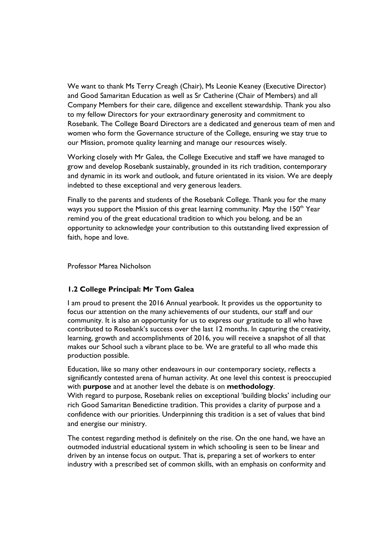We want to thank Ms Terry Creagh (Chair), Ms Leonie Keaney (Executive Director) and Good Samaritan Education as well as Sr Catherine (Chair of Members) and all Company Members for their care, diligence and excellent stewardship. Thank you also to my fellow Directors for your extraordinary generosity and commitment to Rosebank. The College Board Directors are a dedicated and generous team of men and women who form the Governance structure of the College, ensuring we stay true to our Mission, promote quality learning and manage our resources wisely.

Working closely with Mr Galea, the College Executive and staff we have managed to grow and develop Rosebank sustainably, grounded in its rich tradition, contemporary and dynamic in its work and outlook, and future orientated in its vision. We are deeply indebted to these exceptional and very generous leaders.

Finally to the parents and students of the Rosebank College. Thank you for the many ways you support the Mission of this great learning community. May the 150<sup>th</sup> Year remind you of the great educational tradition to which you belong, and be an opportunity to acknowledge your contribution to this outstanding lived expression of faith, hope and love.

Professor Marea Nicholson

# **1.2 College Principal: Mr Tom Galea**

I am proud to present the 2016 Annual yearbook. It provides us the opportunity to focus our attention on the many achievements of our students, our staff and our community. It is also an opportunity for us to express our gratitude to all who have contributed to Rosebank's success over the last 12 months. In capturing the creativity, learning, growth and accomplishments of 2016, you will receive a snapshot of all that makes our School such a vibrant place to be. We are grateful to all who made this production possible.

Education, like so many other endeavours in our contemporary society, reflects a significantly contested arena of human activity. At one level this contest is preoccupied with **purpose** and at another level the debate is on **methodology**. With regard to purpose, Rosebank relies on exceptional 'building blocks' including our rich Good Samaritan Benedictine tradition. This provides a clarity of purpose and a confidence with our priorities. Underpinning this tradition is a set of values that bind and energise our ministry.

The contest regarding method is definitely on the rise. On the one hand, we have an outmoded industrial educational system in which schooling is seen to be linear and driven by an intense focus on output. That is, preparing a set of workers to enter industry with a prescribed set of common skills, with an emphasis on conformity and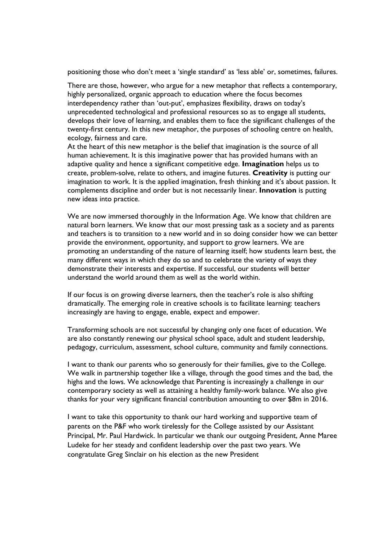positioning those who don't meet a 'single standard' as 'less able' or, sometimes, failures.

There are those, however, who argue for a new metaphor that reflects a contemporary, highly personalized, organic approach to education where the focus becomes interdependency rather than 'out-put', emphasizes flexibility, draws on today's unprecedented technological and professional resources so as to engage all students, develops their love of learning, and enables them to face the significant challenges of the twenty-first century. In this new metaphor, the purposes of schooling centre on health, ecology, fairness and care.

At the heart of this new metaphor is the belief that imagination is the source of all human achievement. It is this imaginative power that has provided humans with an adaptive quality and hence a significant competitive edge. **Imagination** helps us to create, problem-solve, relate to others, and imagine futures. **Creativity** is putting our imagination to work. It is the applied imagination, fresh thinking and it's about passion. It complements discipline and order but is not necessarily linear. **Innovation** is putting new ideas into practice.

We are now immersed thoroughly in the Information Age. We know that children are natural born learners. We know that our most pressing task as a society and as parents and teachers is to transition to a new world and in so doing consider how we can better provide the environment, opportunity, and support to grow learners. We are promoting an understanding of the nature of learning itself; how students learn best, the many different ways in which they do so and to celebrate the variety of ways they demonstrate their interests and expertise. If successful, our students will better understand the world around them as well as the world within.

If our focus is on growing diverse learners, then the teacher's role is also shifting dramatically. The emerging role in creative schools is to facilitate learning: teachers increasingly are having to engage, enable, expect and empower.

Transforming schools are not successful by changing only one facet of education. We are also constantly renewing our physical school space, adult and student leadership, pedagogy, curriculum, assessment, school culture, community and family connections.

I want to thank our parents who so generously for their families, give to the College. We walk in partnership together like a village, through the good times and the bad, the highs and the lows. We acknowledge that Parenting is increasingly a challenge in our contemporary society as well as attaining a healthy family-work balance. We also give thanks for your very significant financial contribution amounting to over \$8m in 2016.

I want to take this opportunity to thank our hard working and supportive team of parents on the P&F who work tirelessly for the College assisted by our Assistant Principal, Mr. Paul Hardwick. In particular we thank our outgoing President, Anne Maree Ludeke for her steady and confident leadership over the past two years. We congratulate Greg Sinclair on his election as the new President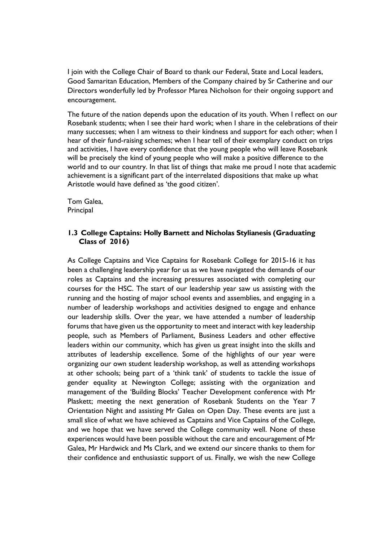I join with the College Chair of Board to thank our Federal, State and Local leaders, Good Samaritan Education, Members of the Company chaired by Sr Catherine and our Directors wonderfully led by Professor Marea Nicholson for their ongoing support and encouragement.

The future of the nation depends upon the education of its youth. When I reflect on our Rosebank students; when I see their hard work; when I share in the celebrations of their many successes; when I am witness to their kindness and support for each other; when I hear of their fund-raising schemes; when I hear tell of their exemplary conduct on trips and activities, I have every confidence that the young people who will leave Rosebank will be precisely the kind of young people who will make a positive difference to the world and to our country. In that list of things that make me proud I note that academic achievement is a significant part of the interrelated dispositions that make up what Aristotle would have defined as 'the good citizen'.

Tom Galea, **Principal** 

## **1.3 College Captains: Holly Barnett and Nicholas Stylianesis (Graduating Class of 2016)**

As College Captains and Vice Captains for Rosebank College for 2015-16 it has been a challenging leadership year for us as we have navigated the demands of our roles as Captains and the increasing pressures associated with completing our courses for the HSC. The start of our leadership year saw us assisting with the running and the hosting of major school events and assemblies, and engaging in a number of leadership workshops and activities designed to engage and enhance our leadership skills. Over the year, we have attended a number of leadership forums that have given us the opportunity to meet and interact with key leadership people, such as Members of Parliament, Business Leaders and other effective leaders within our community, which has given us great insight into the skills and attributes of leadership excellence. Some of the highlights of our year were organizing our own student leadership workshop, as well as attending workshops at other schools; being part of a 'think tank' of students to tackle the issue of gender equality at Newington College; assisting with the organization and management of the 'Building Blocks' Teacher Development conference with Mr Plaskett; meeting the next generation of Rosebank Students on the Year 7 Orientation Night and assisting Mr Galea on Open Day. These events are just a small slice of what we have achieved as Captains and Vice Captains of the College, and we hope that we have served the College community well. None of these experiences would have been possible without the care and encouragement of Mr Galea, Mr Hardwick and Ms Clark, and we extend our sincere thanks to them for their confidence and enthusiastic support of us. Finally, we wish the new College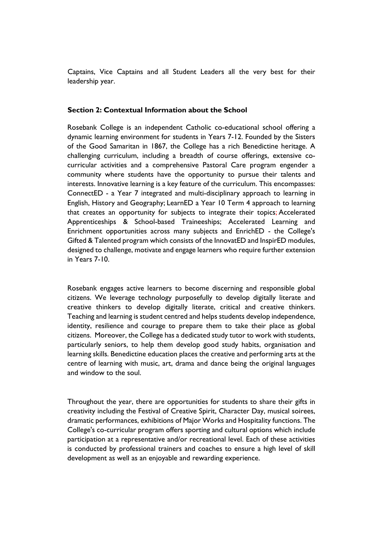Captains, Vice Captains and all Student Leaders all the very best for their leadership year.

#### **Section 2: Contextual Information about the School**

Rosebank College is an independent Catholic co-educational school offering a dynamic learning environment for students in Years 7-12. Founded by the Sisters of the Good Samaritan in 1867, the College has a rich Benedictine heritage. A challenging curriculum, including a breadth of course offerings, extensive cocurricular activities and a comprehensive Pastoral Care program engender a community where students have the opportunity to pursue their talents and interests. Innovative learning is a key feature of the curriculum. This encompasses: ConnectED - a Year 7 integrated and multi-disciplinary approach to learning in English, History and Geography; LearnED a Year 10 Term 4 approach to learning that creates an opportunity for subjects to integrate their topics; Accelerated Apprenticeships & School-based Traineeships; Accelerated Learning and Enrichment opportunities across many subjects and EnrichED - the College's Gifted & Talented program which consists of the InnovatED and InspirED modules, designed to challenge, motivate and engage learners who require further extension in Years 7-10.

Rosebank engages active learners to become discerning and responsible global citizens. We leverage technology purposefully to develop digitally literate and creative thinkers to develop digitally literate, critical and creative thinkers. Teaching and learning is student centred and helps students develop independence, identity, resilience and courage to prepare them to take their place as global citizens. Moreover, the College has a dedicated study tutor to work with students, particularly seniors, to help them develop good study habits, organisation and learning skills. Benedictine education places the creative and performing arts at the centre of learning with music, art, drama and dance being the original languages and window to the soul.

Throughout the year, there are opportunities for students to share their gifts in creativity including the Festival of Creative Spirit, Character Day, musical soirees, dramatic performances, exhibitions of Major Works and Hospitality functions. The College's co-curricular program offers sporting and cultural options which include participation at a representative and/or recreational level. Each of these activities is conducted by professional trainers and coaches to ensure a high level of skill development as well as an enjoyable and rewarding experience.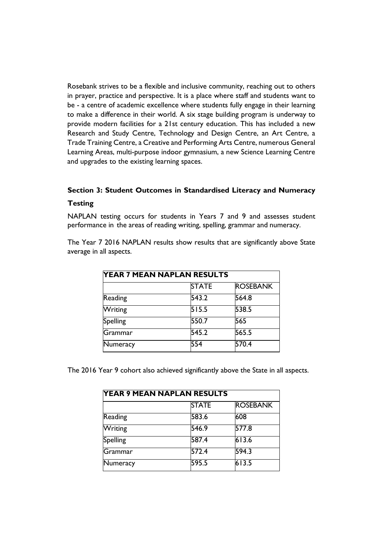Rosebank strives to be a flexible and inclusive community, reaching out to others in prayer, practice and perspective. It is a place where staff and students want to be - a centre of academic excellence where students fully engage in their learning to make a difference in their world. A six stage building program is underway to provide modern facilities for a 21st century education. This has included a new Research and Study Centre, Technology and Design Centre, an Art Centre, a Trade Training Centre, a Creative and Performing Arts Centre, numerous General Learning Areas, multi-purpose indoor gymnasium, a new Science Learning Centre and upgrades to the existing learning spaces.

# **Section 3: Student Outcomes in Standardised Literacy and Numeracy**

# **Testing**

NAPLAN testing occurs for students in Years 7 and 9 and assesses student performance in the areas of reading writing, spelling, grammar and numeracy.

The Year 7 2016 NAPLAN results show results that are significantly above State average in all aspects.

| <b>YEAR 7 MEAN NAPLAN RESULTS</b> |              |                 |  |  |
|-----------------------------------|--------------|-----------------|--|--|
|                                   | <b>STATE</b> | <b>ROSEBANK</b> |  |  |
| Reading                           | 543.2        | 564.8           |  |  |
| Writing                           | 515.5        | 538.5           |  |  |
| <b>Spelling</b>                   | 550.7        | 565             |  |  |
| Grammar                           | 545.2        | 565.5           |  |  |
| Numeracy                          | 554          | 570.4           |  |  |

The 2016 Year 9 cohort also achieved significantly above the State in all aspects.

| <b>YEAR 9 MEAN NAPLAN RESULTS</b> |              |                 |  |  |
|-----------------------------------|--------------|-----------------|--|--|
|                                   | <b>STATE</b> | <b>ROSEBANK</b> |  |  |
| Reading                           | 583.6        | 608             |  |  |
| Writing                           | 546.9        | 577.8           |  |  |
| Spelling                          | 587.4        | 613.6           |  |  |
| Grammar                           | 572.4        | 594.3           |  |  |
| Numeracy                          | 595.5        | 613.5           |  |  |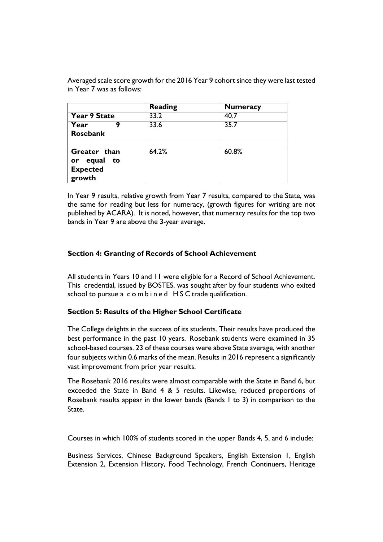|                 | <b>Reading</b> | <b>Numeracy</b> |
|-----------------|----------------|-----------------|
| Year 9 State    | 33.2           | 40.7            |
| Year            | 33.6           | 35.7            |
| Rosebank        |                |                 |
|                 |                |                 |
| Greater than    | 64.2%          | 60.8%           |
| or equal to     |                |                 |
| <b>Expected</b> |                |                 |
| growth          |                |                 |

Averaged scale score growth for the 2016 Year 9 cohort since they were last tested in Year 7 was as follows:

In Year 9 results, relative growth from Year 7 results, compared to the State, was the same for reading but less for numeracy, (growth figures for writing are not published by ACARA). It is noted, however, that numeracy results for the top two bands in Year 9 are above the 3-year average.

## **Section 4: Granting of Records of School Achievement**

All students in Years 10 and 11 were eligible for a Record of School Achievement. This credential, issued by BOSTES, was sought after by four students who exited school to pursue a combined HSC trade qualification.

### **Section 5: Results of the Higher School Certificate**

The College delights in the success of its students. Their results have produced the best performance in the past 10 years. Rosebank students were examined in 35 school-based courses. 23 of these courses were above State average, with another four subjects within 0.6 marks of the mean. Results in 2016 represent a significantly vast improvement from prior year results.

The Rosebank 2016 results were almost comparable with the State in Band 6, but exceeded the State in Band 4 & 5 results. Likewise, reduced proportions of Rosebank results appear in the lower bands (Bands 1 to 3) in comparison to the State.

Courses in which 100% of students scored in the upper Bands 4, 5, and 6 include:

Business Services, Chinese Background Speakers, English Extension 1, English Extension 2, Extension History, Food Technology, French Continuers, Heritage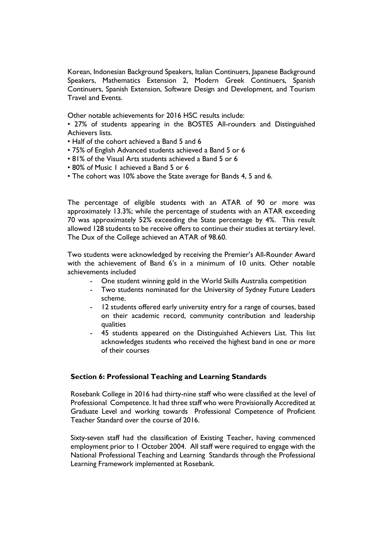Korean, Indonesian Background Speakers, Italian Continuers, Japanese Background Speakers, Mathematics Extension 2, Modern Greek Continuers, Spanish Continuers, Spanish Extension, Software Design and Development, and Tourism Travel and Events.

Other notable achievements for 2016 HSC results include:

• 27% of students appearing in the BOSTES All-rounders and Distinguished Achievers lists.

- Half of the cohort achieved a Band 5 and 6
- 75% of English Advanced students achieved a Band 5 or 6
- 81% of the Visual Arts students achieved a Band 5 or 6
- 80% of Music 1 achieved a Band 5 or 6
- The cohort was 10% above the State average for Bands 4, 5 and 6.

The percentage of eligible students with an ATAR of 90 or more was approximately 13.3%; while the percentage of students with an ATAR exceeding 70 was approximately 52% exceeding the State percentage by 4%. This result allowed 128 students to be receive offers to continue their studies at tertiary level. The Dux of the College achieved an ATAR of 98.60.

Two students were acknowledged by receiving the Premier's All-Rounder Award with the achievement of Band 6's in a minimum of 10 units. Other notable achievements included

- One student winning gold in the World Skills Australia competition
- Two students nominated for the University of Sydney Future Leaders scheme.
- 12 students offered early university entry for a range of courses, based on their academic record, community contribution and leadership qualities
- 45 students appeared on the Distinguished Achievers List. This list acknowledges students who received the highest band in one or more of their courses

### **Section 6: Professional Teaching and Learning Standards**

Rosebank College in 2016 had thirty-nine staff who were classified at the level of Professional Competence. It had three staff who were Provisionally Accredited at Graduate Level and working towards Professional Competence of Proficient Teacher Standard over the course of 2016.

Sixty-seven staff had the classification of Existing Teacher, having commenced employment prior to 1 October 2004. All staff were required to engage with the National Professional Teaching and Learning Standards through the Professional Learning Framework implemented at Rosebank.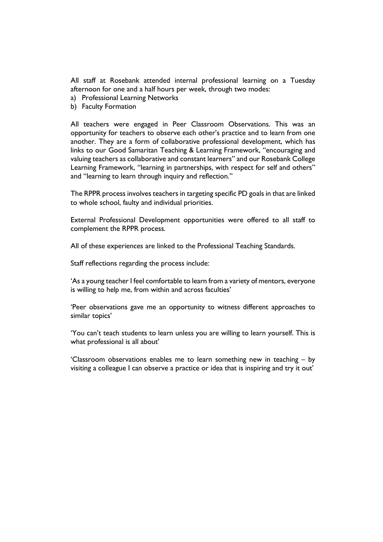All staff at Rosebank attended internal professional learning on a Tuesday afternoon for one and a half hours per week, through two modes:

- a) Professional Learning Networks
- b) Faculty Formation

All teachers were engaged in Peer Classroom Observations. This was an opportunity for teachers to observe each other's practice and to learn from one another. They are a form of collaborative professional development, which has links to our Good Samaritan Teaching & Learning Framework, "encouraging and valuing teachers as collaborative and constant learners" and our Rosebank College Learning Framework, "learning in partnerships, with respect for self and others" and "learning to learn through inquiry and reflection."

The RPPR process involves teachers in targeting specific PD goals in that are linked to whole school, faulty and individual priorities.

External Professional Development opportunities were offered to all staff to complement the RPPR process.

All of these experiences are linked to the Professional Teaching Standards.

Staff reflections regarding the process include:

'As a young teacher I feel comfortable to learn from a variety of mentors, everyone is willing to help me, from within and across faculties'

'Peer observations gave me an opportunity to witness different approaches to similar topics'

'You can't teach students to learn unless you are willing to learn yourself. This is what professional is all about'

'Classroom observations enables me to learn something new in teaching – by visiting a colleague I can observe a practice or idea that is inspiring and try it out'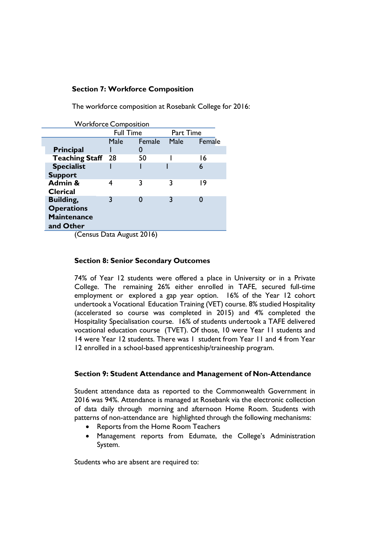# **Section 7: Workforce Composition**

The workforce composition at Rosebank College for 2016:

| <b>Workforce Composition</b> |        |                      |        |
|------------------------------|--------|----------------------|--------|
| <b>Full Time</b>             |        | Part Time            |        |
| Male                         | Female | Male                 | Female |
|                              |        |                      |        |
| <b>Teaching Staff</b><br>28  | 50     |                      | 16     |
|                              |        |                      | 6      |
|                              |        |                      |        |
|                              | 3      | 3                    | 19     |
|                              |        |                      |        |
| 3                            | 0      | 3                    |        |
|                              |        |                      |        |
|                              |        |                      |        |
|                              |        |                      |        |
|                              |        | <b>P.A.</b><br>201/2 |        |

(Census Data August 2016)

### **Section 8: Senior Secondary Outcomes**

74% of Year 12 students were offered a place in University or in a Private College. The remaining 26% either enrolled in TAFE, secured full-time employment or explored a gap year option. 16% of the Year 12 cohort undertook a Vocational Education Training (VET) course. 8% studied Hospitality (accelerated so course was completed in 2015) and 4% completed the Hospitality Specialisation course. 16% of students undertook a TAFE delivered vocational education course (TVET). Of those, 10 were Year 11 students and 14 were Year 12 students. There was 1 student from Year 11 and 4 from Year 12 enrolled in a school-based apprenticeship/traineeship program.

### **Section 9: Student Attendance and Management of Non-Attendance**

Student attendance data as reported to the Commonwealth Government in 2016 was 94%. Attendance is managed at Rosebank via the electronic collection of data daily through morning and afternoon Home Room. Students with patterns of non-attendance are highlighted through the following mechanisms:

- Reports from the Home Room Teachers
- Management reports from Edumate, the College's Administration System.

Students who are absent are required to: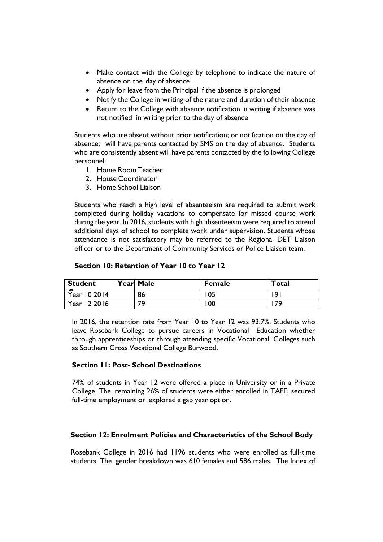- Make contact with the College by telephone to indicate the nature of absence on the day of absence
- Apply for leave from the Principal if the absence is prolonged
- Notify the College in writing of the nature and duration of their absence
- Return to the College with absence notification in writing if absence was not notified in writing prior to the day of absence

Students who are absent without prior notification; or notification on the day of absence; will have parents contacted by SMS on the day of absence. Students who are consistently absent will have parents contacted by the following College personnel:

- 1. Home Room Teacher
- 2. House Coordinator
- 3. Home School Liaison

Students who reach a high level of absenteeism are required to submit work completed during holiday vacations to compensate for missed course work during the year. In 2016, students with high absenteeism were required to attend additional days of school to complete work under supervision. Students whose attendance is not satisfactory may be referred to the Regional DET Liaison officer or to the Department of Community Services or Police Liaison team.

#### **Section 10: Retention of Year 10 to Year 12**

| <b>Student</b> | Year Male | <b>Female</b> | Total |
|----------------|-----------|---------------|-------|
| Year 10 2014   | 86        | 05            | 19    |
| Year 12 2016   | 70        | 00            | 7۵    |

In 2016, the retention rate from Year 10 to Year 12 was 93.7%. Students who leave Rosebank College to pursue careers in Vocational Education whether through apprenticeships or through attending specific Vocational Colleges such as Southern Cross Vocational College Burwood.

#### **Section 11: Post- School Destinations**

74% of students in Year 12 were offered a place in University or in a Private College. The remaining 26% of students were either enrolled in TAFE, secured full-time employment or explored a gap year option.

### **Section 12: Enrolment Policies and Characteristics of the School Body**

Rosebank College in 2016 had 1196 students who were enrolled as full-time students. The gender breakdown was 610 females and 586 males. The Index of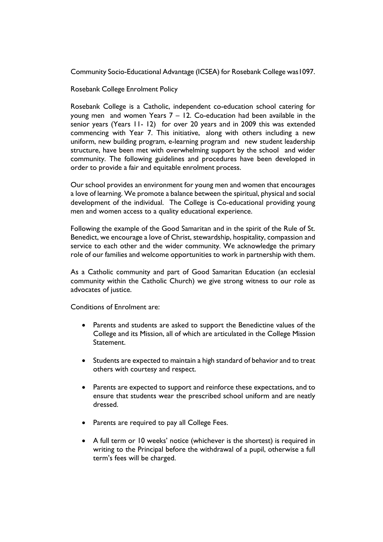Community Socio-Educational Advantage (ICSEA) for Rosebank College was1097.

Rosebank College Enrolment Policy

Rosebank College is a Catholic, independent co-education school catering for young men and women Years  $7 - 12$ . Co-education had been available in the senior years (Years 11- 12) for over 20 years and in 2009 this was extended commencing with Year 7. This initiative, along with others including a new uniform, new building program, e-learning program and new student leadership structure, have been met with overwhelming support by the school and wider community. The following guidelines and procedures have been developed in order to provide a fair and equitable enrolment process.

Our school provides an environment for young men and women that encourages a love of learning. We promote a balance between the spiritual, physical and social development of the individual. The College is Co-educational providing young men and women access to a quality educational experience.

Following the example of the Good Samaritan and in the spirit of the Rule of St. Benedict, we encourage a love of Christ, stewardship, hospitality, compassion and service to each other and the wider community. We acknowledge the primary role of our families and welcome opportunities to work in partnership with them.

As a Catholic community and part of Good Samaritan Education (an ecclesial community within the Catholic Church) we give strong witness to our role as advocates of justice.

Conditions of Enrolment are:

- Parents and students are asked to support the Benedictine values of the College and its Mission, all of which are articulated in the College Mission Statement.
- Students are expected to maintain a high standard of behavior and to treat others with courtesy and respect.
- Parents are expected to support and reinforce these expectations, and to ensure that students wear the prescribed school uniform and are neatly dressed.
- Parents are required to pay all College Fees.
- A full term or 10 weeks' notice (whichever is the shortest) is required in writing to the Principal before the withdrawal of a pupil, otherwise a full term's fees will be charged.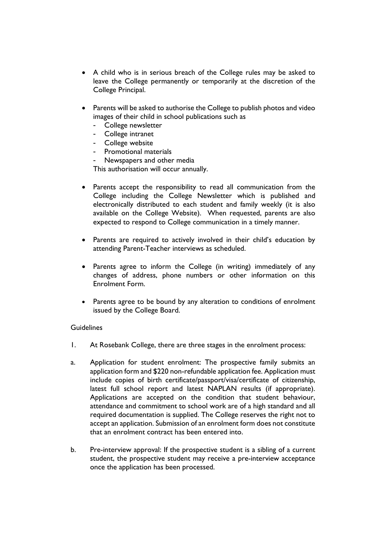- A child who is in serious breach of the College rules may be asked to leave the College permanently or temporarily at the discretion of the College Principal.
- Parents will be asked to authorise the College to publish photos and video images of their child in school publications such as
	- College newsletter
	- College intranet
	- College website
	- Promotional materials
	- Newspapers and other media

This authorisation will occur annually.

- Parents accept the responsibility to read all communication from the College including the College Newsletter which is published and electronically distributed to each student and family weekly (it is also available on the College Website). When requested, parents are also expected to respond to College communication in a timely manner.
- Parents are required to actively involved in their child's education by attending Parent-Teacher interviews as scheduled.
- Parents agree to inform the College (in writing) immediately of any changes of address, phone numbers or other information on this Enrolment Form.
- Parents agree to be bound by any alteration to conditions of enrolment issued by the College Board.

### Guidelines

- 1. At Rosebank College, there are three stages in the enrolment process:
- a. Application for student enrolment: The prospective family submits an application form and \$220 non-refundable application fee. Application must include copies of birth certificate/passport/visa/certificate of citizenship, latest full school report and latest NAPLAN results (if appropriate). Applications are accepted on the condition that student behaviour, attendance and commitment to school work are of a high standard and all required documentation is supplied. The College reserves the right not to accept an application. Submission of an enrolment form does not constitute that an enrolment contract has been entered into.
- b. Pre-interview approval: If the prospective student is a sibling of a current student, the prospective student may receive a pre-interview acceptance once the application has been processed.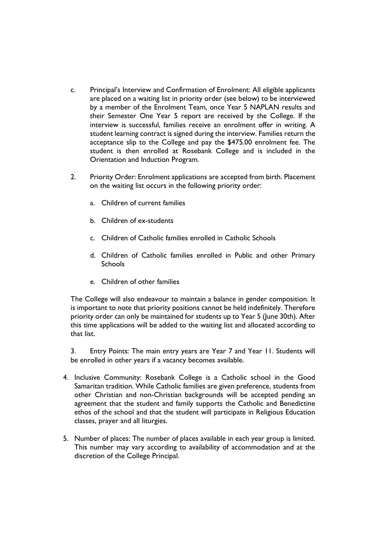- c. Principal's Interview and Confirmation of Enrolment: All eligible applicants are placed on a waiting list in priority order (see below) to be interviewed by a member of the Enrolment Team, once Year 5 NAPLAN results and their Semester One Year 5 report are received by the College. If the interview is successful, families receive an enrolment offer in writing. A student learning contract is signed during the interview. Families return the acceptance slip to the College and pay the \$475.00 enrolment fee. The student is then enrolled at Rosebank College and is included in the Orientation and Induction Program.
- 2. Priority Order: Enrolment applications are accepted from birth. Placement on the waiting list occurs in the following priority order:
	- a. Children of current families
	- b. Children of ex-students
	- c. Children of Catholic families enrolled in Catholic Schools
	- d. Children of Catholic families enrolled in Public and other Primary Schools
	- e. Children of other families

The College will also endeavour to maintain a balance in gender composition. It is important to note that priority positions cannot be held indefinitely. Therefore priority order can only be maintained for students up to Year 5 (June 30th). After this time applications will be added to the waiting list and allocated according to that list.

3. Entry Points: The main entry years are Year 7 and Year 11. Students will be enrolled in other years if a vacancy becomes available.

- 4. Inclusive Community: Rosebank College is a Catholic school in the Good Samaritan tradition. While Catholic families are given preference, students from other Christian and non-Christian backgrounds will be accepted pending an agreement that the student and family supports the Catholic and Benedictine ethos of the school and that the student will participate in Religious Education classes, prayer and all liturgies.
- 5. Number of places: The number of places available in each year group is limited. This number may vary according to availability of accommodation and at the discretion of the College Principal.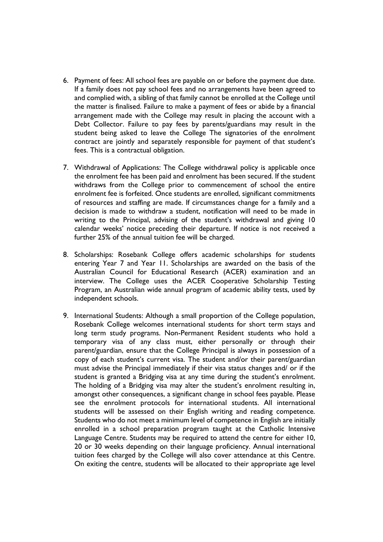- 6. Payment of fees: All school fees are payable on or before the payment due date. If a family does not pay school fees and no arrangements have been agreed to and complied with, a sibling of that family cannot be enrolled at the College until the matter is finalised. Failure to make a payment of fees or abide by a financial arrangement made with the College may result in placing the account with a Debt Collector. Failure to pay fees by parents/guardians may result in the student being asked to leave the College The signatories of the enrolment contract are jointly and separately responsible for payment of that student's fees. This is a contractual obligation.
- 7. Withdrawal of Applications: The College withdrawal policy is applicable once the enrolment fee has been paid and enrolment has been secured. If the student withdraws from the College prior to commencement of school the entire enrolment fee is forfeited. Once students are enrolled, significant commitments of resources and staffing are made. If circumstances change for a family and a decision is made to withdraw a student, notification will need to be made in writing to the Principal, advising of the student's withdrawal and giving 10 calendar weeks' notice preceding their departure. If notice is not received a further 25% of the annual tuition fee will be charged.
- 8. Scholarships: Rosebank College offers academic scholarships for students entering Year 7 and Year 11. Scholarships are awarded on the basis of the Australian Council for Educational Research (ACER) examination and an interview. The College uses the ACER Cooperative Scholarship Testing Program, an Australian wide annual program of academic ability tests, used by independent schools.
- 9. International Students: Although a small proportion of the College population, Rosebank College welcomes international students for short term stays and long term study programs. Non-Permanent Resident students who hold a temporary visa of any class must, either personally or through their parent/guardian, ensure that the College Principal is always in possession of a copy of each student's current visa. The student and/or their parent/guardian must advise the Principal immediately if their visa status changes and/ or if the student is granted a Bridging visa at any time during the student's enrolment. The holding of a Bridging visa may alter the student's enrolment resulting in, amongst other consequences, a significant change in school fees payable. Please see the enrolment protocols for international students. All international students will be assessed on their English writing and reading competence. Students who do not meet a minimum level of competence in English are initially enrolled in a school preparation program taught at the Catholic Intensive Language Centre. Students may be required to attend the centre for either 10, 20 or 30 weeks depending on their language proficiency. Annual international tuition fees charged by the College will also cover attendance at this Centre. On exiting the centre, students will be allocated to their appropriate age level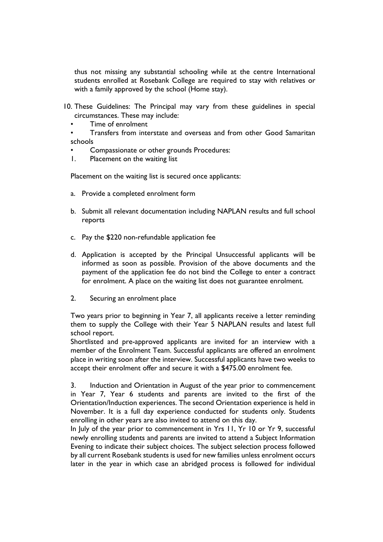thus not missing any substantial schooling while at the centre International students enrolled at Rosebank College are required to stay with relatives or with a family approved by the school (Home stay).

- 10. These Guidelines: The Principal may vary from these guidelines in special circumstances. These may include:
	- Time of enrolment

• Transfers from interstate and overseas and from other Good Samaritan schools

- Compassionate or other grounds Procedures:
- 1. Placement on the waiting list

Placement on the waiting list is secured once applicants:

- a. Provide a completed enrolment form
- b. Submit all relevant documentation including NAPLAN results and full school reports
- c. Pay the \$220 non-refundable application fee
- d. Application is accepted by the Principal Unsuccessful applicants will be informed as soon as possible. Provision of the above documents and the payment of the application fee do not bind the College to enter a contract for enrolment. A place on the waiting list does not guarantee enrolment.
- 2. Securing an enrolment place

Two years prior to beginning in Year 7, all applicants receive a letter reminding them to supply the College with their Year 5 NAPLAN results and latest full school report.

Shortlisted and pre-approved applicants are invited for an interview with a member of the Enrolment Team. Successful applicants are offered an enrolment place in writing soon after the interview. Successful applicants have two weeks to accept their enrolment offer and secure it with a \$475.00 enrolment fee.

3. Induction and Orientation in August of the year prior to commencement in Year 7, Year 6 students and parents are invited to the first of the Orientation/Induction experiences. The second Orientation experience is held in November. It is a full day experience conducted for students only. Students enrolling in other years are also invited to attend on this day.

In July of the year prior to commencement in Yrs 11, Yr 10 or Yr 9, successful newly enrolling students and parents are invited to attend a Subject Information Evening to indicate their subject choices. The subject selection process followed by all current Rosebank students is used for new families unless enrolment occurs later in the year in which case an abridged process is followed for individual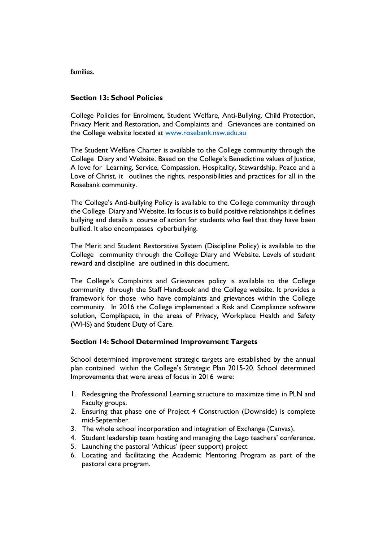families.

## **Section 13: School Policies**

College Policies for Enrolment, Student Welfare, Anti-Bullying, Child Protection, Privacy Merit and Restoration, and Complaints and Grievances are contained on the College website located at www.rosebank.nsw.edu.au

The Student Welfare Charter is available to the College community through the College Diary and Website. Based on the College's Benedictine values of Justice, A love for Learning, Service, Compassion, Hospitality, Stewardship, Peace and a Love of Christ, it outlines the rights, responsibilities and practices for all in the Rosebank community.

The College's Anti-bullying Policy is available to the College community through the College Diary and Website. Its focus is to build positive relationships it defines bullying and details a course of action for students who feel that they have been bullied. It also encompasses cyberbullying.

The Merit and Student Restorative System (Discipline Policy) is available to the College community through the College Diary and Website. Levels of student reward and discipline are outlined in this document.

The College's Complaints and Grievances policy is available to the College community through the Staff Handbook and the College website. It provides a framework for those who have complaints and grievances within the College community. In 2016 the College implemented a Risk and Compliance software solution, Complispace, in the areas of Privacy, Workplace Health and Safety (WHS) and Student Duty of Care.

### **Section 14: School Determined Improvement Targets**

School determined improvement strategic targets are established by the annual plan contained within the College's Strategic Plan 2015-20. School determined Improvements that were areas of focus in 2016 were:

- 1. Redesigning the Professional Learning structure to maximize time in PLN and Faculty groups.
- 2. Ensuring that phase one of Project 4 Construction (Downside) is complete mid-September.
- 3. The whole school incorporation and integration of Exchange (Canvas).
- 4. Student leadership team hosting and managing the Lego teachers' conference.
- 5. Launching the pastoral 'Athicus' (peer support) project
- 6. Locating and facilitating the Academic Mentoring Program as part of the pastoral care program.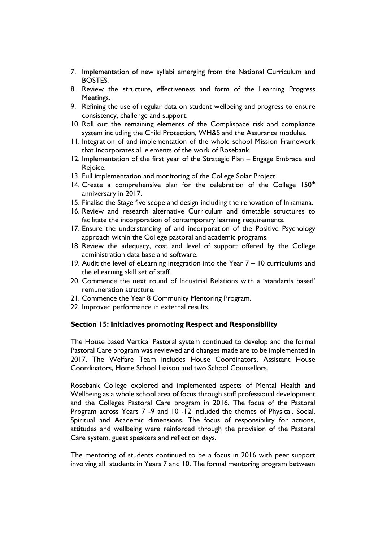- 7. Implementation of new syllabi emerging from the National Curriculum and BOSTES.
- 8. Review the structure, effectiveness and form of the Learning Progress Meetings.
- 9. Refining the use of regular data on student wellbeing and progress to ensure consistency, challenge and support.
- 10. Roll out the remaining elements of the Complispace risk and compliance system including the Child Protection, WH&S and the Assurance modules.
- 11. Integration of and implementation of the whole school Mission Framework that incorporates all elements of the work of Rosebank.
- 12. Implementation of the first year of the Strategic Plan Engage Embrace and Rejoice.
- 13. Full implementation and monitoring of the College Solar Project.
- 14. Create a comprehensive plan for the celebration of the College  $150<sup>th</sup>$ anniversary in 2017.
- 15. Finalise the Stage five scope and design including the renovation of Inkamana.
- 16. Review and research alternative Curriculum and timetable structures to facilitate the incorporation of contemporary learning requirements.
- 17. Ensure the understanding of and incorporation of the Positive Psychology approach within the College pastoral and academic programs.
- 18. Review the adequacy, cost and level of support offered by the College administration data base and software.
- 19. Audit the level of eLearning integration into the Year 7 10 curriculums and the eLearning skill set of staff.
- 20. Commence the next round of Industrial Relations with a 'standards based' remuneration structure.
- 21. Commence the Year 8 Community Mentoring Program.
- 22. Improved performance in external results.

### **Section 15: Initiatives promoting Respect and Responsibility**

The House based Vertical Pastoral system continued to develop and the formal Pastoral Care program was reviewed and changes made are to be implemented in 2017. The Welfare Team includes House Coordinators, Assistant House Coordinators, Home School Liaison and two School Counsellors.

Rosebank College explored and implemented aspects of Mental Health and Wellbeing as a whole school area of focus through staff professional development and the Colleges Pastoral Care program in 2016. The focus of the Pastoral Program across Years 7 -9 and 10 -12 included the themes of Physical, Social, Spiritual and Academic dimensions. The focus of responsibility for actions, attitudes and wellbeing were reinforced through the provision of the Pastoral Care system, guest speakers and reflection days.

The mentoring of students continued to be a focus in 2016 with peer support involving all students in Years 7 and 10. The formal mentoring program between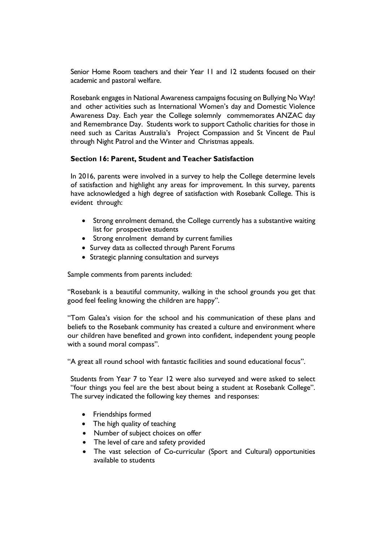Senior Home Room teachers and their Year 11 and 12 students focused on their academic and pastoral welfare.

Rosebank engages in National Awareness campaigns focusing on Bullying No Way! and other activities such as International Women's day and Domestic Violence Awareness Day. Each year the College solemnly commemorates ANZAC day and Remembrance Day. Students work to support Catholic charities for those in need such as Caritas Australia's Project Compassion and St Vincent de Paul through Night Patrol and the Winter and Christmas appeals.

#### **Section 16: Parent, Student and Teacher Satisfaction**

In 2016, parents were involved in a survey to help the College determine levels of satisfaction and highlight any areas for improvement. In this survey, parents have acknowledged a high degree of satisfaction with Rosebank College. This is evident through:

- Strong enrolment demand, the College currently has a substantive waiting list for prospective students
- Strong enrolment demand by current families
- Survey data as collected through Parent Forums
- Strategic planning consultation and surveys

Sample comments from parents included:

"Rosebank is a beautiful community, walking in the school grounds you get that good feel feeling knowing the children are happy".

"Tom Galea's vision for the school and his communication of these plans and beliefs to the Rosebank community has created a culture and environment where our children have benefited and grown into confident, independent young people with a sound moral compass".

"A great all round school with fantastic facilities and sound educational focus".

Students from Year 7 to Year 12 were also surveyed and were asked to select "four things you feel are the best about being a student at Rosebank College". The survey indicated the following key themes and responses:

- Friendships formed
- The high quality of teaching
- Number of subject choices on offer
- The level of care and safety provided
- The vast selection of Co-curricular (Sport and Cultural) opportunities available to students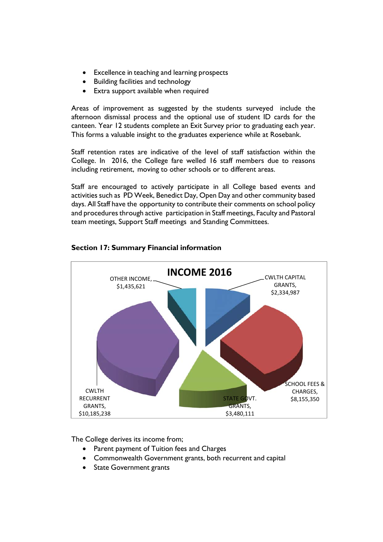- Excellence in teaching and learning prospects
- Building facilities and technology
- Extra support available when required

Areas of improvement as suggested by the students surveyed include the afternoon dismissal process and the optional use of student ID cards for the canteen. Year 12 students complete an Exit Survey prior to graduating each year. This forms a valuable insight to the graduates experience while at Rosebank.

Staff retention rates are indicative of the level of staff satisfaction within the College. In 2016, the College fare welled 16 staff members due to reasons including retirement, moving to other schools or to different areas.

Staff are encouraged to actively participate in all College based events and activities such as PD Week, Benedict Day, Open Day and other community based days. All Staff have the opportunity to contribute their comments on school policy and procedures through active participation in Staff meetings, Faculty and Pastoral team meetings, Support Staff meetings and Standing Committees.



# **Section 17: Summary Financial information**

The College derives its income from;

- Parent payment of Tuition fees and Charges
- Commonwealth Government grants, both recurrent and capital
- State Government grants